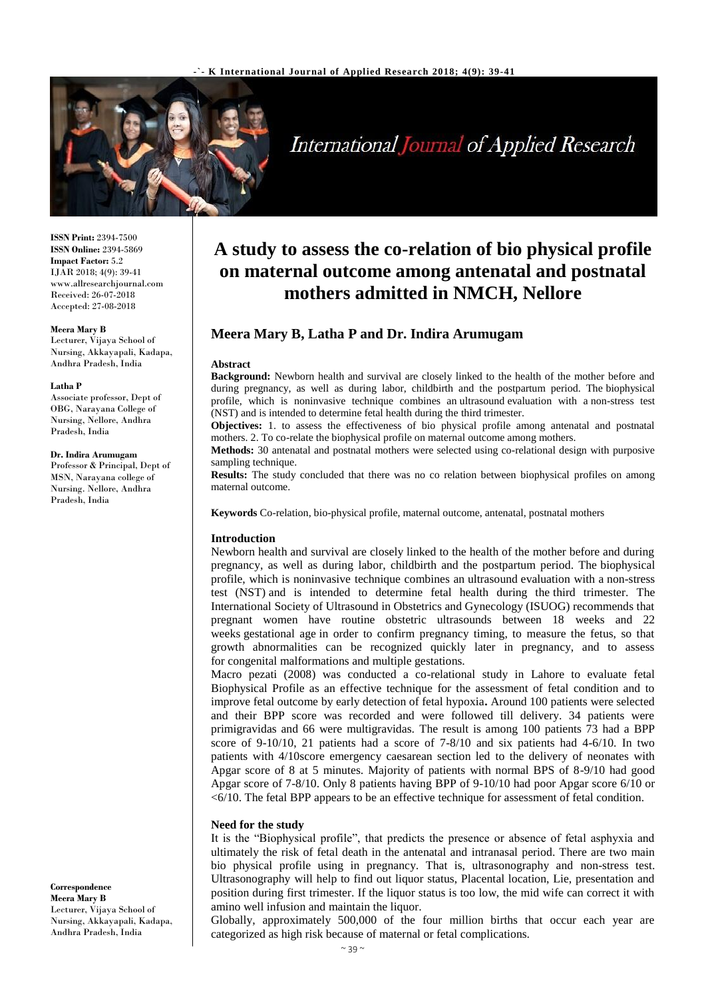

# International Journal of Applied Research

**ISSN Print:** 2394-7500 **ISSN Online:** 2394-5869 **Impact Factor:** 5.2 IJAR 2018; 4(9): 39-41 www.allresearchjournal.com Received: 26-07-2018 Accepted: 27-08-2018

#### **Meera Mary B**

Lecturer, Vijaya School of Nursing, Akkayapali, Kadapa, Andhra Pradesh, India

#### **Latha P**

Associate professor, Dept of OBG, Narayana College of Nursing, Nellore, Andhra Pradesh, India

#### **Dr. Indira Arumugam**

Professor & Principal, Dept of MSN, Narayana college of Nursing. Nellore, Andhra Pradesh, India

**A study to assess the co-relation of bio physical profile on maternal outcome among antenatal and postnatal mothers admitted in NMCH, Nellore**

# **Meera Mary B, Latha P and Dr. Indira Arumugam**

#### **Abstract**

**Background:** Newborn health and survival are closely linked to the health of the mother before and during pregnancy, as well as during labor, childbirth and the postpartum period. The biophysical profile, which is noninvasive technique combines an ultrasound evaluation with a non-stress test (NST) and is intended to determine fetal health during the third trimester.

**Objectives:** 1. to assess the effectiveness of bio physical profile among antenatal and postnatal mothers. 2. To co-relate the biophysical profile on maternal outcome among mothers.

**Methods:** 30 antenatal and postnatal mothers were selected using co-relational design with purposive sampling technique.

**Results:** The study concluded that there was no co relation between biophysical profiles on among maternal outcome.

**Keywords** Co-relation, bio-physical profile, maternal outcome, antenatal, postnatal mothers

#### **Introduction**

Newborn health and survival are closely linked to the health of the mother before and during pregnancy, as well as during labor, childbirth and the postpartum period. The biophysical profile, which is noninvasive technique combines an ultrasound evaluation with a non-stress test (NST) and is intended to determine fetal health during the third trimester. The International Society of Ultrasound in Obstetrics and Gynecology (ISUOG) recommends that pregnant women have routine obstetric ultrasounds between 18 weeks and 22 weeks gestational age in order to confirm pregnancy timing, to measure the fetus, so that growth abnormalities can be recognized quickly later in pregnancy, and to assess for congenital malformations and multiple gestations.

Macro pezati (2008) was conducted a co-relational study in Lahore to evaluate fetal Biophysical Profile as an effective technique for the assessment of fetal condition and to improve fetal outcome by early detection of fetal hypoxia**.** Around 100 patients were selected and their BPP score was recorded and were followed till delivery. 34 patients were primigravidas and 66 were multigravidas. The result is among 100 patients 73 had a BPP score of 9-10/10, 21 patients had a score of 7-8/10 and six patients had 4-6/10. In two patients with 4/10score emergency caesarean section led to the delivery of neonates with Apgar score of 8 at 5 minutes. Majority of patients with normal BPS of 8-9/10 had good Apgar score of 7-8/10. Only 8 patients having BPP of 9-10/10 had poor Apgar score 6/10 or <6/10. The fetal BPP appears to be an effective technique for assessment of fetal condition.

#### **Need for the study**

It is the "Biophysical profile", that predicts the presence or absence of fetal asphyxia and ultimately the risk of fetal death in the antenatal and intranasal period. There are two main bio physical profile using in pregnancy. That is, ultrasonography and non-stress test. Ultrasonography will help to find out liquor status, Placental location, Lie, presentation and position during first trimester. If the liquor status is too low, the mid wife can correct it with amino well infusion and maintain the liquor.

Globally, approximately 500,000 of the four million births that occur each year are categorized as high risk because of maternal or fetal complications.

**Correspondence Meera Mary B** Lecturer, Vijaya School of Nursing, Akkayapali, Kadapa, Andhra Pradesh, India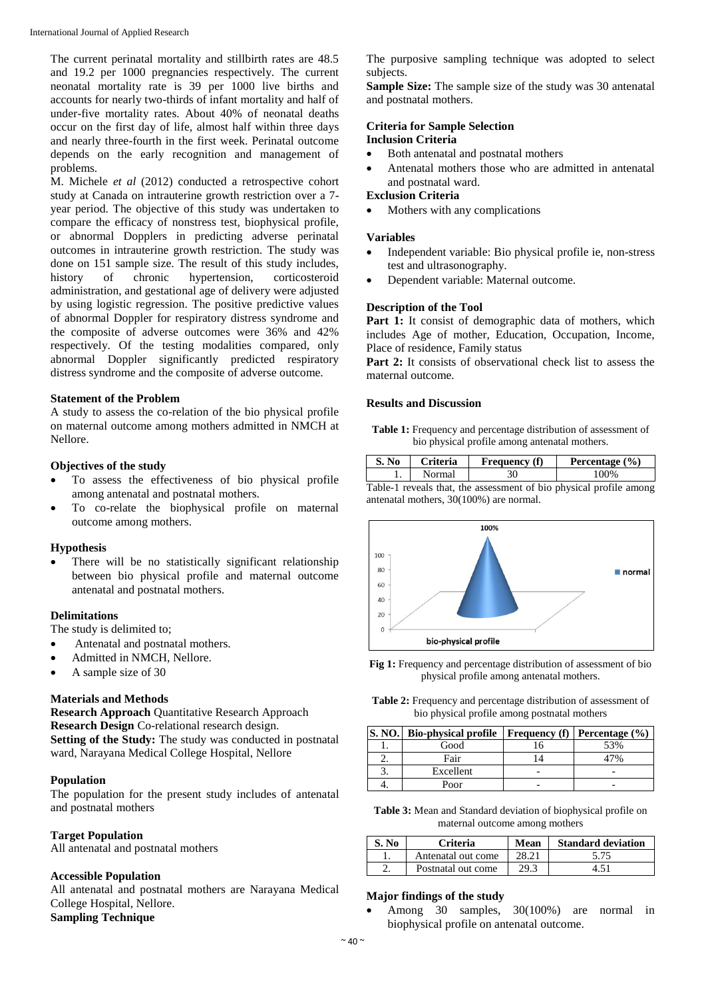The current perinatal mortality and stillbirth rates are 48.5 and 19.2 per 1000 pregnancies respectively. The current neonatal mortality rate is 39 per 1000 live births and accounts for nearly two-thirds of infant mortality and half of under-five mortality rates. About 40% of neonatal deaths occur on the first day of life, almost half within three days and nearly three-fourth in the first week. Perinatal outcome depends on the early recognition and management of problems.

M. Michele *et al* (2012) conducted a retrospective cohort study at Canada on intrauterine growth restriction over a 7 year period. The objective of this study was undertaken to compare the efficacy of nonstress test, biophysical profile, or abnormal Dopplers in predicting adverse perinatal outcomes in intrauterine growth restriction. The study was done on 151 sample size. The result of this study includes, history of chronic hypertension, corticosteroid administration, and gestational age of delivery were adjusted by using logistic regression. The positive predictive values of abnormal Doppler for respiratory distress syndrome and the composite of adverse outcomes were 36% and 42% respectively. Of the testing modalities compared, only abnormal Doppler significantly predicted respiratory distress syndrome and the composite of adverse outcome.

# **Statement of the Problem**

A study to assess the co-relation of the bio physical profile on maternal outcome among mothers admitted in NMCH at Nellore.

## **Objectives of the study**

- To assess the effectiveness of bio physical profile among antenatal and postnatal mothers.
- To co-relate the biophysical profile on maternal outcome among mothers.

#### **Hypothesis**

 There will be no statistically significant relationship between bio physical profile and maternal outcome antenatal and postnatal mothers.

# **Delimitations**

The study is delimited to;

- Antenatal and postnatal mothers.
- Admitted in NMCH, Nellore.
- A sample size of 30

# **Materials and Methods**

**Research Approach** Quantitative Research Approach **Research Design** Co-relational research design. **Setting of the Study:** The study was conducted in postnatal ward, Narayana Medical College Hospital, Nellore

# **Population**

The population for the present study includes of antenatal and postnatal mothers

# **Target Population**

All antenatal and postnatal mothers

## **Accessible Population**

All antenatal and postnatal mothers are Narayana Medical College Hospital, Nellore. **Sampling Technique**

The purposive sampling technique was adopted to select subjects.

**Sample Size:** The sample size of the study was 30 antenatal and postnatal mothers.

#### **Criteria for Sample Selection Inclusion Criteria**

- Both antenatal and postnatal mothers
- Antenatal mothers those who are admitted in antenatal and postnatal ward.

#### **Exclusion Criteria**

Mothers with any complications

#### **Variables**

- Independent variable: Bio physical profile ie, non-stress test and ultrasonography.
- Dependent variable: Maternal outcome.

## **Description of the Tool**

Part 1: It consist of demographic data of mothers, which includes Age of mother, Education, Occupation, Income, Place of residence, Family status

Part 2: It consists of observational check list to assess the maternal outcome.

## **Results and Discussion**

**Table 1:** Frequency and percentage distribution of assessment of bio physical profile among antenatal mothers.

| S. No | Criteria | <b>Frequency</b> (f) | Percentage $(\% )$ |
|-------|----------|----------------------|--------------------|
| . .   | Normal   |                      | /۱∩∩۵              |

Table-1 reveals that, the assessment of bio physical profile among antenatal mothers, 30(100%) are normal.



**Fig 1:** Frequency and percentage distribution of assessment of bio physical profile among antenatal mothers.

**Table 2:** Frequency and percentage distribution of assessment of bio physical profile among postnatal mothers

| <b>S. NO.</b> | Bio-physical profile   Frequency (f)   Percentage $(\% )$ |     |
|---------------|-----------------------------------------------------------|-----|
|               | Good                                                      | 53% |
|               | Fair                                                      |     |
|               | Excellent                                                 |     |
|               | Poor                                                      |     |

**Table 3:** Mean and Standard deviation of biophysical profile on maternal outcome among mothers

| S. No | <b>Criteria</b>    | Mean  | <b>Standard deviation</b> |
|-------|--------------------|-------|---------------------------|
|       | Antenatal out come | 28.21 | 5.75                      |
|       | Postnatal out come | 29.3  |                           |

#### **Major findings of the study**

 Among 30 samples, 30(100%) are normal in biophysical profile on antenatal outcome.